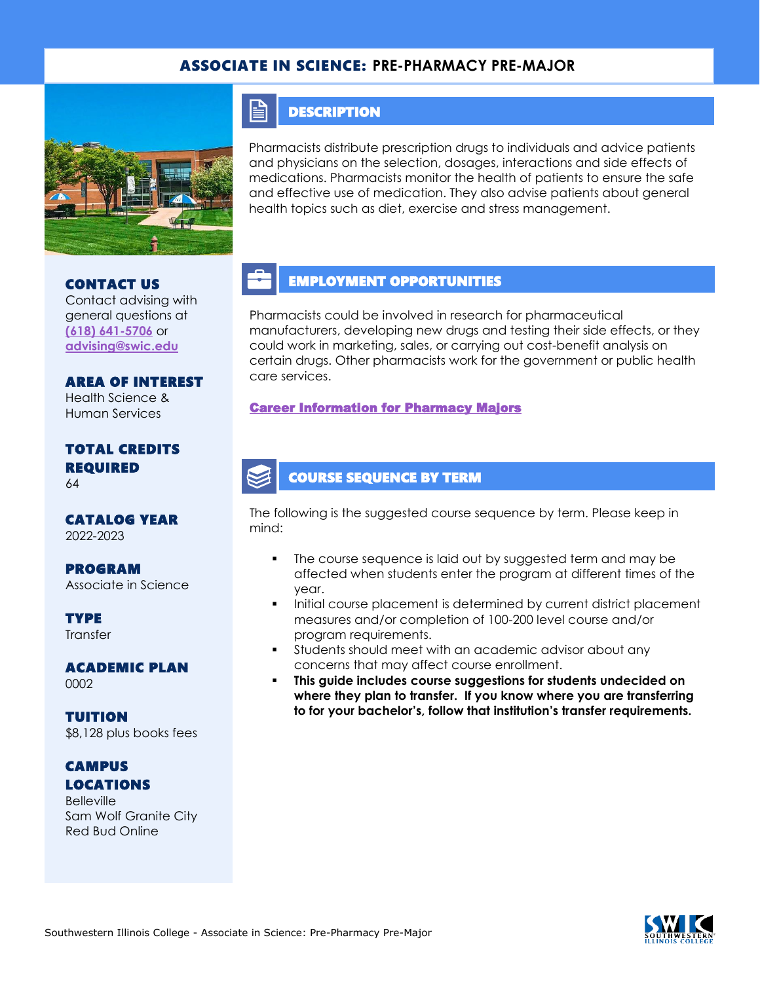### ASSOCIATE IN SCIENCE: **PRE-PHARMACY PRE-MAJOR**



#### **DESCRIPTION**

E

Pharmacists distribute prescription drugs to individuals and advice patients and physicians on the selection, dosages, interactions and side effects of medications. Pharmacists monitor the health of patients to ensure the safe and effective use of medication. They also advise patients about general health topics such as diet, exercise and stress management.

## CONTACT US

Contact advising with general questions at **[\(618\) 641-5706](tel:%20(618)%20641-5706)** or **[advising@swic.edu](mailto:advising@swic.edu)**

AREA OF INTEREST Health Science & Human Services

#### TOTAL CREDITS REQUIRED 64

CATALOG YEAR 2022-2023

PROGRAM Associate in Science

**TYPE Transfer** 

ACADEMIC PLAN 0002

TUITION \$8,128 plus books fees

## **CAMPUS** LOCATIONS

**Belleville** Sam Wolf Granite City Red Bud Online

# EMPLOYMENT OPPORTUNITIES

Pharmacists could be involved in research for pharmaceutical manufacturers, developing new drugs and testing their side effects, or they could work in marketing, sales, or carrying out cost-benefit analysis on certain drugs. Other pharmacists work for the government or public health care services.

#### [Career Information for Pharmacy Majors](https://www.onetonline.org/find/quick?s=pharmacy)

# COURSE SEQUENCE BY TERM

The following is the suggested course sequence by term. Please keep in mind:

- The course sequence is laid out by suggested term and may be affected when students enter the program at different times of the year.
- Initial course placement is determined by current district placement measures and/or completion of 100-200 level course and/or program requirements.
- **•** Students should meet with an academic advisor about any concerns that may affect course enrollment.
- **This guide includes course suggestions for students undecided on where they plan to transfer. If you know where you are transferring to for your bachelor's, follow that institution's transfer requirements.**